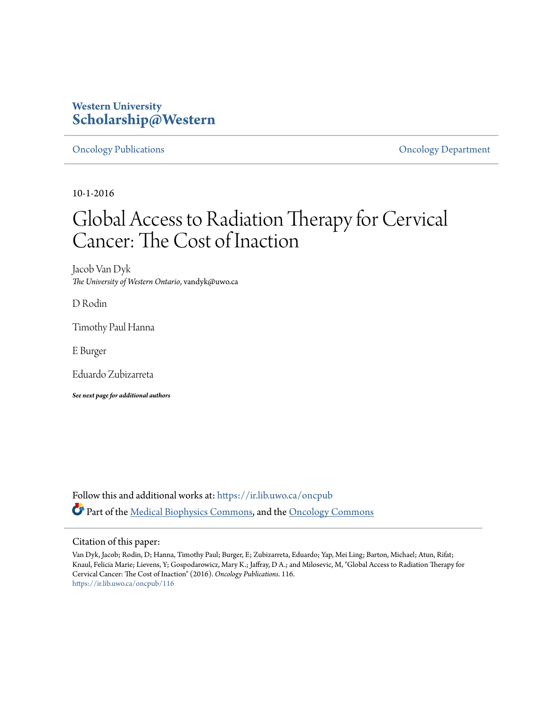# **Western University [Scholarship@Western](https://ir.lib.uwo.ca?utm_source=ir.lib.uwo.ca%2Foncpub%2F116&utm_medium=PDF&utm_campaign=PDFCoverPages)**

[Oncology Publications](https://ir.lib.uwo.ca/oncpub?utm_source=ir.lib.uwo.ca%2Foncpub%2F116&utm_medium=PDF&utm_campaign=PDFCoverPages) [Oncology Department](https://ir.lib.uwo.ca/onc?utm_source=ir.lib.uwo.ca%2Foncpub%2F116&utm_medium=PDF&utm_campaign=PDFCoverPages)

10-1-2016

# Global Access to Radiation Therapy for Cervical Cancer: The Cost of Inaction

Jacob Van Dyk *The University of Western Ontario*, vandyk@uwo.ca

D Rodin

Timothy Paul Hanna

E Burger

Eduardo Zubizarreta

*See next page for additional authors*

Follow this and additional works at: [https://ir.lib.uwo.ca/oncpub](https://ir.lib.uwo.ca/oncpub?utm_source=ir.lib.uwo.ca%2Foncpub%2F116&utm_medium=PDF&utm_campaign=PDFCoverPages) Part of the [Medical Biophysics Commons,](http://network.bepress.com/hgg/discipline/668?utm_source=ir.lib.uwo.ca%2Foncpub%2F116&utm_medium=PDF&utm_campaign=PDFCoverPages) and the [Oncology Commons](http://network.bepress.com/hgg/discipline/694?utm_source=ir.lib.uwo.ca%2Foncpub%2F116&utm_medium=PDF&utm_campaign=PDFCoverPages)

# Citation of this paper:

Van Dyk, Jacob; Rodin, D; Hanna, Timothy Paul; Burger, E; Zubizarreta, Eduardo; Yap, Mei Ling; Barton, Michael; Atun, Rifat; Knaul, Felicia Marie; Lievens, Y; Gospodarowicz, Mary K.; Jaffray, D A.; and Milosevic, M, "Global Access to Radiation Therapy for Cervical Cancer: The Cost of Inaction" (2016). *Oncology Publications*. 116. [https://ir.lib.uwo.ca/oncpub/116](https://ir.lib.uwo.ca/oncpub/116?utm_source=ir.lib.uwo.ca%2Foncpub%2F116&utm_medium=PDF&utm_campaign=PDFCoverPages)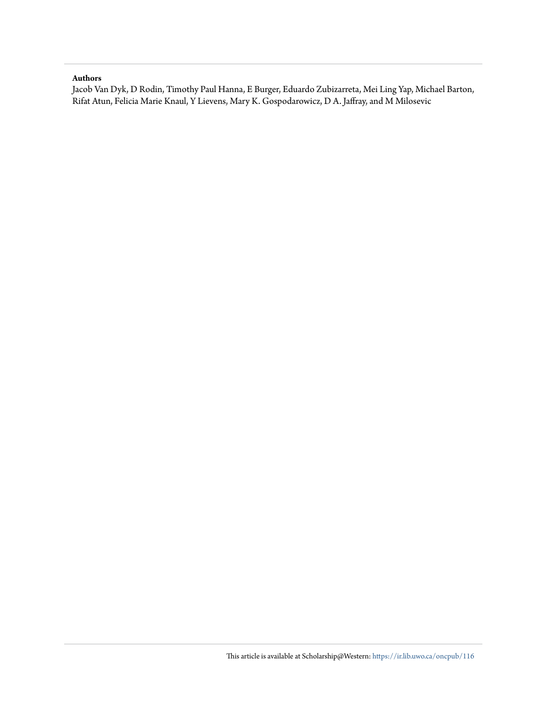# **Authors**

Jacob Van Dyk, D Rodin, Timothy Paul Hanna, E Burger, Eduardo Zubizarreta, Mei Ling Yap, Michael Barton, Rifat Atun, Felicia Marie Knaul, Y Lievens, Mary K. Gospodarowicz, D A. Jaffray, and M Milosevic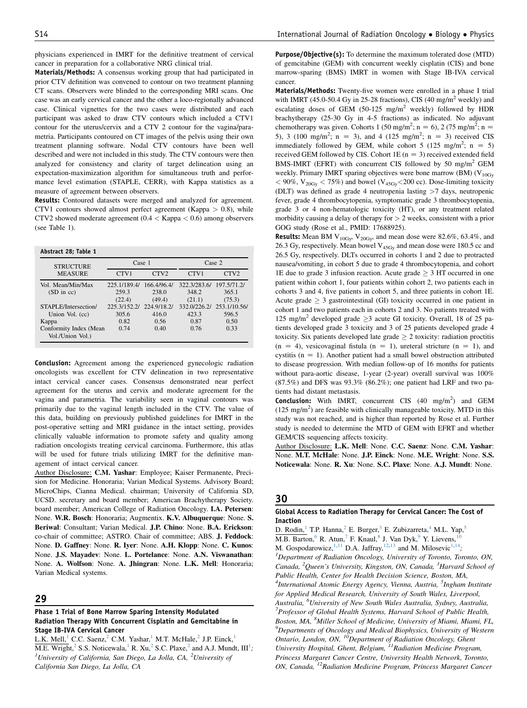physicians experienced in IMRT for the definitive treatment of cervical cancer in preparation for a collaborative NRG clinical trial.

Materials/Methods: A consensus working group that had participated in prior CTV definition was convened to contour on two treatment planning CT scans. Observers were blinded to the corresponding MRI scans. One case was an early cervical cancer and the other a loco-regionally advanced case. Clinical vignettes for the two cases were distributed and each participant was asked to draw CTV contours which included a CTV1 contour for the uterus/cervix and a CTV 2 contour for the vagina/parametria. Participants contoured on CT images of the pelvis using their own treatment planning software. Nodal CTV contours have been well described and were not included in this study. The CTV contours were then analyzed for consistency and clarity of target delineation using an expectation-maximization algorithm for simultaneous truth and performance level estimation (STAPLE, CERR), with Kappa statistics as a measure of agreement between observers.

Results: Contoured datasets were merged and analyzed for agreement. CTV1 contours showed almost perfect agreement (Kappa > 0.8), while CTV2 showed moderate agreement (0.4 < Kappa < 0.6) among observers (see Table 1).

| Abstract 28; Table 1   |              |             |              |                  |
|------------------------|--------------|-------------|--------------|------------------|
| <b>STRUCTURE</b>       | Case 1       |             | Case 2       |                  |
| <b>MEASURE</b>         | CTV1         | CTV2        | CTV1         | CTV <sub>2</sub> |
| Vol. Mean/Min/Max      | 225.1/189.4/ | 166.4/96.4/ | 322.3/283.6/ | 197.5/71.2/      |
| $(SD \text{ in } cc)$  | 259.3        | 238.0       | 348.2        | 365.1            |
|                        | (22.4)       | (49.4)      | (21.1)       | (75.3)           |
| STAPLE/Intersection/   | 225.3/152.2/ | 224.9/18.2/ | 332.0/226.2/ | 253.1/10.56/     |
| Union Vol. (cc)        | 305.6        | 416.0       | 423.3        | 596.5            |
| Kappa                  | 0.82         | 0.56        | 0.87         | 0.50             |
| Conformity Index (Mean | 0.74         | 0.40        | 0.76         | 0.33             |
| Vol./Union Vol.)       |              |             |              |                  |

Conclusion: Agreement among the experienced gynecologic radiation oncologists was excellent for CTV delineation in two representative intact cervical cancer cases. Consensus demonstrated near perfect agreement for the uterus and cervix and moderate agreement for the vagina and parametria. The variability seen in vaginal contours was primarily due to the vaginal length included in the CTV. The value of this data, building on previously published guidelines for IMRT in the post-operative setting and MRI guidance in the intact setting, provides clinically valuable information to promote safety and quality among radiation oncologists treating cervical carcinoma. Furthermore, this atlas will be used for future trials utilizing IMRT for the definitive management of intact cervical cancer.

Author Disclosure: C.M. Yashar: Employee; Kaiser Permanente, Precision for Medicine. Honoraria; Varian Medical Systems. Advisory Board; MicroChips, Cianna Medical. chairman; University of California SD, UCSD. secretary and board member; American Brachytherapy Society. board member; American College of Radiation Oncology. I.A. Petersen: None. W.R. Bosch: Honoraria; Augmentix. K.V. Albuquerque: None. S. Beriwal: Consultant; Varian Medical. J.P. Chino: None. B.A. Erickson: co-chair of committee; ASTRO. Chair of committee; ABS. J. Feddock: None. D. Gaffney: None. R. Iyer: None. A.H. Klopp: None. C. Kunos: None. J.S. Mayadev: None. L. Portelance: None. A.N. Viswanathan: None. A. Wolfson: None. A. Jhingran: None. L.K. Mell: Honoraria; Varian Medical systems.

#### 29

#### Phase 1 Trial of Bone Marrow Sparing Intensity Modulated Radiation Therapy With Concurrent Cisplatin and Gemcitabine in Stage IB-IVA Cervical Cancer

L.K. Mell, ${}^{1}$  C.C. Saenz, ${}^{2}$  C.M. Yashar, ${}^{1}$  M.T. McHale, ${}^{2}$  J.P. Einck, ${}^{1}$  $\overline{M.E. Wright}$ , 2 S.S. Noticewala,<sup>1</sup> R. Xu,<sup>2</sup> S.C. Plaxe,<sup>2</sup> and A.J. Mundt, III<sup>1</sup>;<br><sup>1</sup>University of California, San Diago, La Jolla, CA, <sup>2</sup>University of University of California, San Diego, La Jolla, CA,  $^{2}$ University of California San Diego, La Jolla, CA

Purpose/Objective(s): To determine the maximum tolerated dose (MTD) of gemcitabine (GEM) with concurrent weekly cisplatin (CIS) and bone marrow-sparing (BMS) IMRT in women with Stage IB-IVA cervical cancer.

Materials/Methods: Twenty-five women were enrolled in a phase I trial with IMRT (45.0-50.4 Gy in 25-28 fractions), CIS (40 mg/m<sup>2</sup> weekly) and escalating doses of GEM (50-125 mg/m<sup>2</sup> weekly) followed by HDR brachytherapy (25-30 Gy in 4-5 fractions) as indicated. No adjuvant chemotherapy was given. Cohorts 1 (50 mg/m<sup>2</sup>; n = 6), 2 (75 mg/m<sup>2</sup>; n = 5), 3 (100 mg/m<sup>2</sup>; n = 3), and 4 (125 mg/m<sup>2</sup>; n = 3) received CIS immediately followed by GEM, while cohort 5 (125 mg/m<sup>2</sup>; n = 5) received GEM followed by CIS. Cohort 1E  $(n = 3)$  received extended field BMS-IMRT (EFRT) with concurrent CIS followed by 50 mg/m2 GEM weekly. Primary IMRT sparing objectives were bone marrow (BM) ( $V_{10Gy}$  $<$  90%, V<sub>20Gy</sub>  $<$  75%) and bowel (V<sub>45Gy</sub> < 200 cc). Dose-limiting toxicity (DLT) was defined as grade 4 neutropenia lasting >7 days, neutropenic fever, grade 4 thrombocytopenia, symptomatic grade 3 thrombocytopenia, grade 3 or 4 non-hematologic toxicity (HT), or any treatment related morbidity causing a delay of therapy for  $> 2$  weeks, consistent with a prior GOG study (Rose et al., PMID: 17688925).

**Results:** Mean BM  $V_{10G_y}$ ,  $V_{20G_y}$ , and mean dose were 82.6%, 63.4%, and 26.3 Gy, respectively. Mean bowel V<sub>45Gy</sub> and mean dose were 180.5 cc and 26.5 Gy, respectively. DLTs occurred in cohorts 1 and 2 due to protracted nausea/vomiting, in cohort 5 due to grade 4 thrombocytopenia, and cohort 1E due to grade 3 infusion reaction. Acute grade  $\geq$  3 HT occurred in one patient within cohort 1, four patients within cohort 2, two patients each in cohorts 3 and 4, five patients in cohort 5, and three patients in cohort 1E. Acute grade  $> 3$  gastrointestinal (GI) toxicity occurred in one patient in cohort 1 and two patients each in cohorts 2 and 3. No patients treated with 125 mg/m<sup>2</sup> developed grade  $>$ 3 acute GI toxicity. Overall, 18 of 25 patients developed grade 3 toxicity and 3 of 25 patients developed grade 4 toxicity. Six patients developed late grade  $\geq 2$  toxicity: radiation proctitis  $(n = 4)$ , vesicovaginal fistula  $(n = 1)$ , ureteral stricture  $(n = 1)$ , and cystitis ( $n = 1$ ). Another patient had a small bowel obstruction attributed to disease progression. With median follow-up of 16 months for patients without para-aortic disease, 1-year (2-year) overall survival was 100% (87.5%) and DFS was 93.3% (86.2%); one patient had LRF and two patients had distant metastasis.

**Conclusion:** With IMRT, concurrent CIS  $(40 \text{ mg/m}^2)$  and GEM  $(125 \text{ mg/m}^2)$  are feasible with clinically manageable toxicity. MTD in this study was not reached, and is higher than reported by Rose et al. Further study is needed to determine the MTD of GEM with EFRT and whether GEM/CIS sequencing affects toxicity.

Author Disclosure: L.K. Mell: None. C.C. Saenz: None. C.M. Yashar: None. M.T. McHale: None. J.P. Einck: None. M.E. Wright: None. S.S. Noticewala: None. R. Xu: None. S.C. Plaxe: None. A.J. Mundt: None.

#### 30

#### Global Access to Radiation Therapy for Cervical Cancer: The Cost of Inaction

D. Rodin,<sup>1</sup> T.P. Hanna,<sup>2</sup> E. Burger,<sup>3</sup> E. Zubizarreta,<sup>4</sup> M.L. Yap,<sup>5</sup>  $\overline{\text{M.B. Barton}}$ ,  $6 \text{ R. Atun}$ ,  $7 \text{ F. Kanul}$ ,  $8 \text{ J. Van Dyk}$ ,  $9 \text{ Y. Lievens}$ , M. Gospodarowicz, $^{1,11}$  D.A. Jaffray, $^{12,13}$  and M. Milosevic<sup>1,14</sup>;  ${}^{1}$ Department of Radiation Oncology, University of Toronto, Toronto, ON, Canada, <sup>2</sup>Queen's University, Kingston, ON, Canada, <sup>3</sup>Harvard School of Public Health, Center for Health Decision Science, Boston, MA, <sup>4</sup>International Atomic Energy Agency, Vienna, Austria, <sup>5</sup>Ingham Institute for Applied Medical Research, University of South Wales, Liverpool, Australia, <sup>6</sup>University of New South Wales Australia, Sydney, Australia, <sup>7</sup> Professor of Global Health Systems, Harvard School of Public Health, Boston, MA, <sup>8</sup>Miller School of Medicine, University of Miami, Miami, FL,<br><sup>9</sup>Departments of Oncology and Medical Biophysics, University of Western  $^{9}$ Departments of Oncology and Medical Biophysics, University of Western Ontario, London, ON,  $^{10}$ Department of Radiation Oncology, Ghent University Hospital, Ghent, Belgium, <sup>11</sup>Radiation Medicine Program, Princess Margaret Cancer Centre, University Health Network, Toronto, ON, Canada, 12Radiation Medicine Program, Princess Margaret Cancer